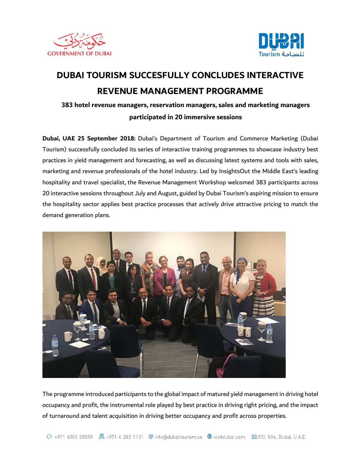



## **DUBAI TOURISM SUCCESFULLY CONCLUDES INTERACTIVE REVENUE MANAGEMENT PROGRAMME**

## **383 hotel revenue managers, reservation managers, sales and marketing managers participated in 20 immersive sessions**

**Dubai, UAE 25 September 2018:** Dubai's Department of Tourism and Commerce Marketing (Dubai Tourism) successfully concluded its series of interactive training programmes to showcase industry best practices in yield management and forecasting, as well as discussing latest systems and tools with sales, marketing and revenue professionals of the hotel industry. Led by InsightsOut the Middle East's leading hospitality and travel specialist, the Revenue Management Workshop welcomed 383 participants across 20 interactive sessions throughout July and August, guided by Dubai Tourism's aspiring mission to ensure the hospitality sector applies best practice processes that actively drive attractive pricing to match the demand generation plans.



The programme introduced participants to the global impact of matured yield management in driving hotel occupancy and profit, the instrumental role played by best practice in driving right pricing, and the impact of turnaround and talent acquisition in driving better occupancy and profit across properties.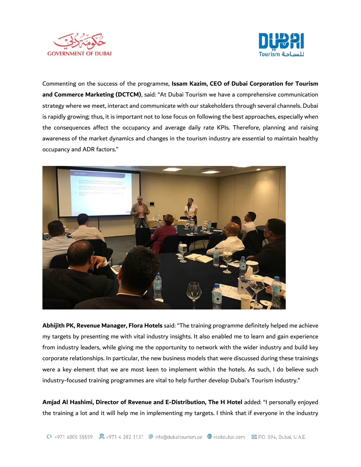



Commenting on the success of the programme, **Issam Kazim, CEO of Dubai Corporation for Tourism and Commerce Marketing (DCTCM)**, said: "At Dubai Tourism we have a comprehensive communication strategy where we meet, interact and communicate with our stakeholders through several channels. Dubai is rapidly growing; thus, it is important not to lose focus on following the best approaches, especially when the consequences affect the occupancy and average daily rate KPIs. Therefore, planning and raising awareness of the market dynamics and changes in the tourism industry are essential to maintain healthy occupancy and ADR factors."



**Abhijith PK, Revenue Manager, Flora Hotels** said: "The training programme definitely helped me achieve my targets by presenting me with vital industry insights. It also enabled me to learn and gain experience from industry leaders, while giving me the opportunity to network with the wider industry and build key corporate relationships. In particular, the new business models that were discussed during these trainings were a key element that we are most keen to implement within the hotels. As such, I do believe such industry-focused training programmes are vital to help further develop Dubai's Tourism industry."

**Amjad Al Hashimi, Director of Revenue and E-Distribution, The H Hotel** added: "I personally enjoyed the training a lot and it will help me in implementing my targets. I think that if everyone in the industry